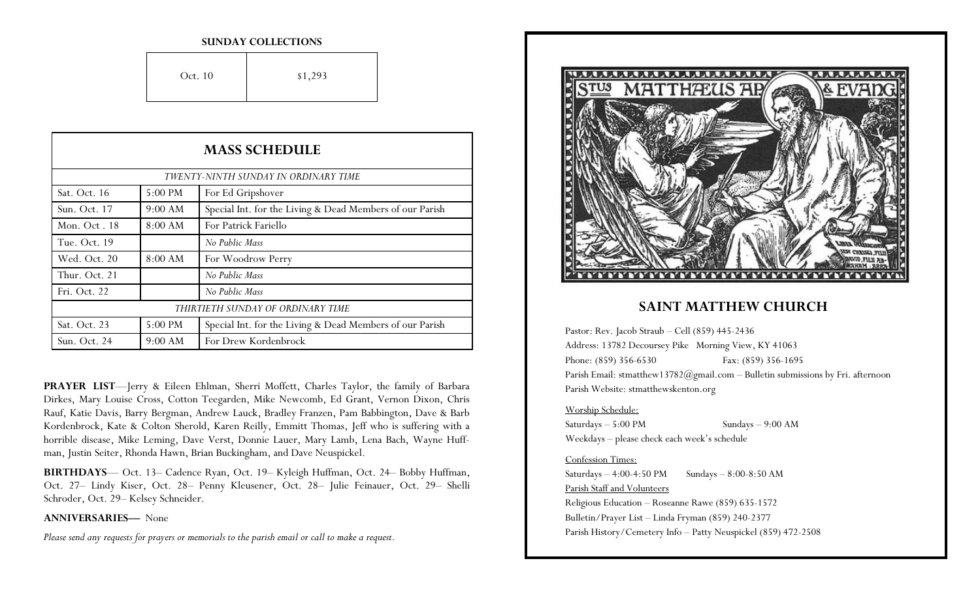#### **SUNDAY COLLECTIONS**

| Oct. 10 | \$1,293 |
|---------|---------|
|         |         |

| <b>MASS SCHEDULE</b>                 |         |                                                          |
|--------------------------------------|---------|----------------------------------------------------------|
| TWENTY-NINTH SUNDAY IN ORDINARY TIME |         |                                                          |
| Sat. Oct. 16                         | 5:00 PM | For Ed Gripshover                                        |
| Sun. Oct. 17                         | 9:00 AM | Special Int. for the Living & Dead Members of our Parish |
| Mon. Oct. 18                         | 8:00 AM | For Patrick Fariello                                     |
| Tue. Oct. 19                         |         | No Public Mass                                           |
| Wed. Oct. 20                         | 8:00 AM | For Woodrow Perry                                        |
| Thur. Oct. 21                        |         | No Public Mass                                           |
| Fri. Oct. 22                         |         | No Public Mass                                           |
| THIRTIETH SUNDAY OF ORDINARY TIME    |         |                                                          |
| Sat. Oct. 23                         | 5:00 PM | Special Int. for the Living & Dead Members of our Parish |
| Sun. Oct. 24                         | 9:00 AM | For Drew Kordenbrock                                     |

**PRAYER LIST**—Jerry & Eileen Ehlman, Sherri Moffett, Charles Taylor, the family of Barbara Dirkes, Mary Louise Cross, Cotton Teegarden, Mike Newcomb, Ed Grant, Vernon Dixon, Chris Rauf, Katie Davis, Barry Bergman, Andrew Lauck, Bradley Franzen, Pam Babbington, Dave & Barb Kordenbrock, Kate & Colton Sherold, Karen Reilly, Emmitt Thomas, Jeff who is suffering with a horrible disease, Mike Leming, Dave Verst, Donnie Lauer, Mary Lamb, Lena Bach, Wayne Huffman, Justin Seiter, Rhonda Hawn, Brian Buckingham, and Dave Neuspickel.

**BIRTHDAYS**— Oct. 13– Cadence Ryan, Oct. 19– Kyleigh Huffman, Oct. 24– Bobby Huffman, Oct. 27– Lindy Kiser, Oct. 28– Penny Kleusener, Oct. 28– Julie Feinauer, Oct. 29– Shelli Schroder, Oct. 29– Kelsey Schneider.

### **ANNIVERSARIES—** None

*Please send any requests for prayers or memorials to the parish email or call to make a request.*



### **SAINT MATTHEW CHURCH**

Pastor: Rev. Jacob Straub – Cell (859) 445-2436 Address: 13782 Decoursey Pike Morning View, KY 41063 Phone: (859) 356-6530 Fax: (859) 356-1695 Parish Email: stmatthew13782@gmail.com - Bulletin submissions by Fri. afternoon Parish Website: stmatthewskenton.org

### Worship Schedule:

Saturdays – 5:00 PM Sundays – 9:00 AM Weekdays – please check each week's schedule

### Confession Times:

Saturdays  $-4:00-4:50 \text{ PM}$  Sundays  $-8:00-8:50 \text{ AM}$ Parish Staff and Volunteers Religious Education – Roseanne Rawe (859) 635-1572 Bulletin/Prayer List – Linda Fryman (859) 240-2377 Parish History/Cemetery Info – Patty Neuspickel (859) 472-2508